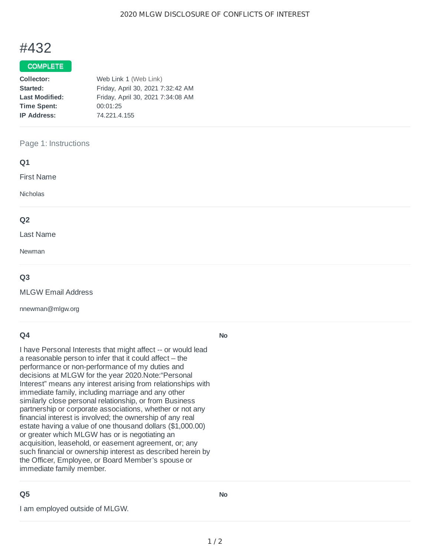# #432

#### COMPLETE

| Collector:            | Web Link 1 (Web Link)             |
|-----------------------|-----------------------------------|
| Started:              | Friday, April 30, 2021 7:32:42 AM |
| <b>Last Modified:</b> | Friday, April 30, 2021 7:34:08 AM |
| <b>Time Spent:</b>    | 00:01:25                          |
| <b>IP Address:</b>    | 74.221.4.155                      |
|                       |                                   |

#### Page 1: Instructions

#### **Q1**

First Name

Nicholas

#### **Q2**

Last Name

Newman

#### **Q3**

MLGW Email Address

nnewman@mlgw.org

#### **Q4**

I have Personal Interests that might affect -- or would lead a reasonable person to infer that it could affect – the performance or non-performance of my duties and decisions at MLGW for the year 2020.Note:"Personal Interest" means any interest arising from relationships with immediate family, including marriage and any other similarly close personal relationship, or from Business partnership or corporate associations, whether or not any financial interest is involved; the ownership of any real estate having a value of one thousand dollars (\$1,000.00) or greater which MLGW has or is negotiating an acquisition, leasehold, or easement agreement, or; any such financial or ownership interest as described herein by the Officer, Employee, or Board Member's spouse or immediate family member.

### **Q5**

I am employed outside of MLGW.

**No**

**No**